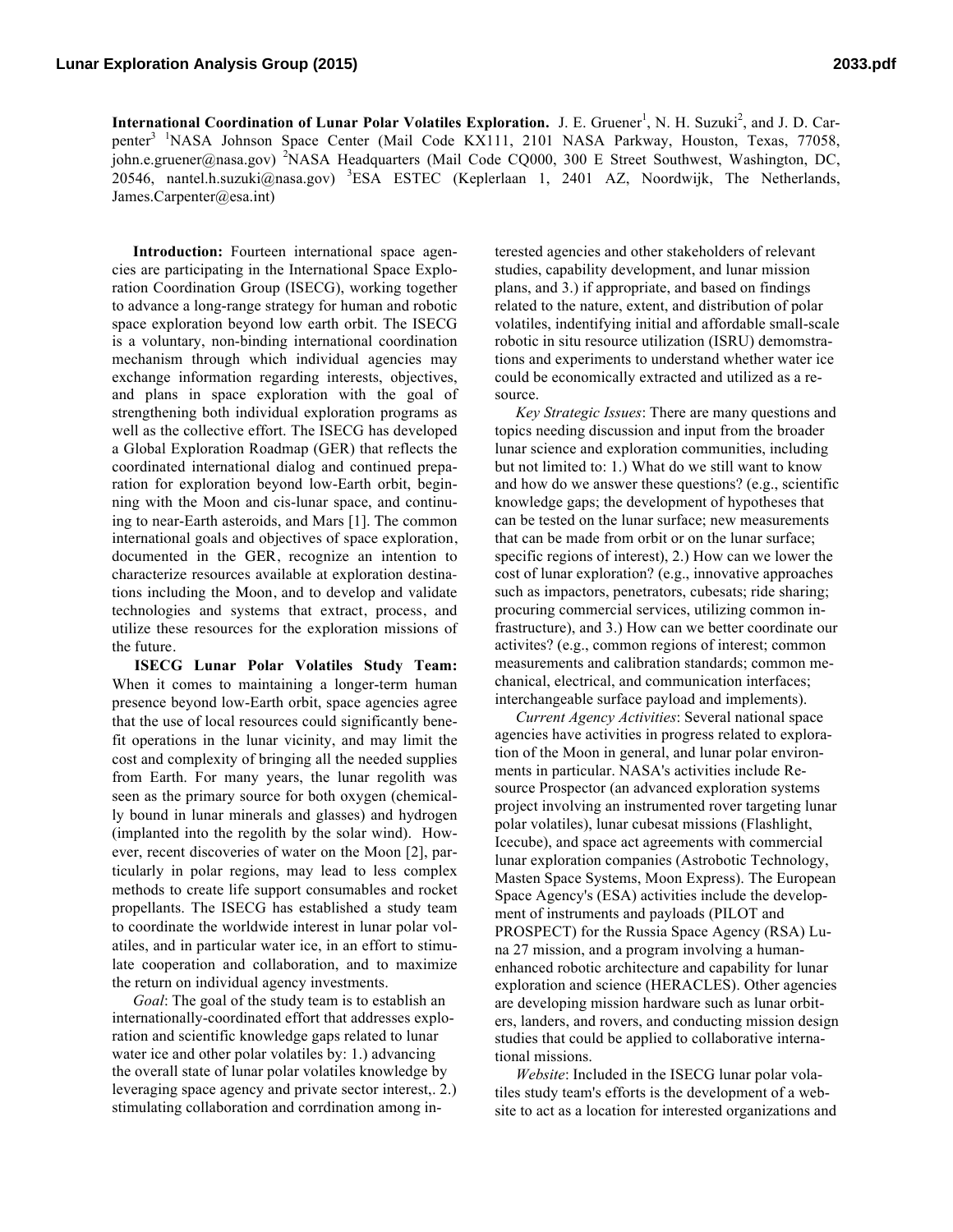International Coordination of Lunar Polar Volatiles Exploration. J. E. Gruener<sup>1</sup>, N. H. Suzuki<sup>2</sup>, and J. D. Carpenter<sup>3</sup> <sup>1</sup>NASA Johnson Space Center (Mail Code KX111, 2101 NASA Parkway, Houston, Texas, 77058, john.e.gruener@nasa.gov) <sup>2</sup>NASA Headquarters (Mail Code CQ000, 300 E Street Southwest, Washington, DC, 20546, nantel.h.suzuki@nasa.gov) <sup>3</sup>ESA ESTEC (Keplerlaan 1, 2401 AZ, Noordwijk, The Netherlands, James.Carpenter@esa.int)

**Introduction:** Fourteen international space agencies are participating in the International Space Exploration Coordination Group (ISECG), working together to advance a long-range strategy for human and robotic space exploration beyond low earth orbit. The ISECG is a voluntary, non-binding international coordination mechanism through which individual agencies may exchange information regarding interests, objectives, and plans in space exploration with the goal of strengthening both individual exploration programs as well as the collective effort. The ISECG has developed a Global Exploration Roadmap (GER) that reflects the coordinated international dialog and continued preparation for exploration beyond low-Earth orbit, beginning with the Moon and cis-lunar space, and continuing to near-Earth asteroids, and Mars [1]. The common international goals and objectives of space exploration, documented in the GER, recognize an intention to characterize resources available at exploration destinations including the Moon, and to develop and validate technologies and systems that extract, process, and utilize these resources for the exploration missions of the future.

**ISECG Lunar Polar Volatiles Study Team:** When it comes to maintaining a longer-term human presence beyond low-Earth orbit, space agencies agree that the use of local resources could significantly benefit operations in the lunar vicinity, and may limit the cost and complexity of bringing all the needed supplies from Earth. For many years, the lunar regolith was seen as the primary source for both oxygen (chemically bound in lunar minerals and glasses) and hydrogen (implanted into the regolith by the solar wind). However, recent discoveries of water on the Moon [2], particularly in polar regions, may lead to less complex methods to create life support consumables and rocket propellants. The ISECG has established a study team to coordinate the worldwide interest in lunar polar volatiles, and in particular water ice, in an effort to stimulate cooperation and collaboration, and to maximize the return on individual agency investments.

*Goal*: The goal of the study team is to establish an internationally-coordinated effort that addresses exploration and scientific knowledge gaps related to lunar water ice and other polar volatiles by: 1.) advancing the overall state of lunar polar volatiles knowledge by leveraging space agency and private sector interest,. 2.) stimulating collaboration and corrdination among in-

terested agencies and other stakeholders of relevant studies, capability development, and lunar mission plans, and 3.) if appropriate, and based on findings related to the nature, extent, and distribution of polar volatiles, indentifying initial and affordable small-scale robotic in situ resource utilization (ISRU) demomstrations and experiments to understand whether water ice could be economically extracted and utilized as a resource.

*Key Strategic Issues*: There are many questions and topics needing discussion and input from the broader lunar science and exploration communities, including but not limited to: 1.) What do we still want to know and how do we answer these questions? (e.g., scientific knowledge gaps; the development of hypotheses that can be tested on the lunar surface; new measurements that can be made from orbit or on the lunar surface; specific regions of interest), 2.) How can we lower the cost of lunar exploration? (e.g., innovative approaches such as impactors, penetrators, cubesats; ride sharing; procuring commercial services, utilizing common infrastructure), and 3.) How can we better coordinate our activites? (e.g., common regions of interest; common measurements and calibration standards; common mechanical, electrical, and communication interfaces; interchangeable surface payload and implements).

*Current Agency Activities*: Several national space agencies have activities in progress related to exploration of the Moon in general, and lunar polar environments in particular. NASA's activities include Resource Prospector (an advanced exploration systems project involving an instrumented rover targeting lunar polar volatiles), lunar cubesat missions (Flashlight, Icecube), and space act agreements with commercial lunar exploration companies (Astrobotic Technology, Masten Space Systems, Moon Express). The European Space Agency's (ESA) activities include the development of instruments and payloads (PILOT and PROSPECT) for the Russia Space Agency (RSA) Luna 27 mission, and a program involving a humanenhanced robotic architecture and capability for lunar exploration and science (HERACLES). Other agencies are developing mission hardware such as lunar orbiters, landers, and rovers, and conducting mission design studies that could be applied to collaborative international missions.

*Website*: Included in the ISECG lunar polar volatiles study team's efforts is the development of a website to act as a location for interested organizations and